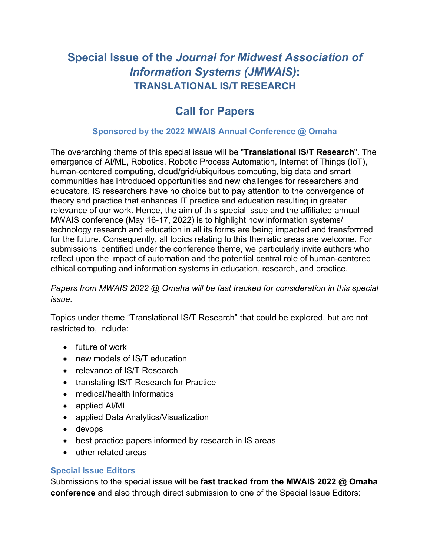## **Special Issue of the** *Journal for Midwest Association of Information Systems (JMWAIS)***: TRANSLATIONAL IS/T RESEARCH**

# **Call for Papers**

### **Sponsored by the 2022 MWAIS Annual Conference @ Omaha**

The overarching theme of this special issue will be "**Translational IS/T Research**". The emergence of AI/ML, Robotics, Robotic Process Automation, Internet of Things (IoT), human-centered computing, cloud/grid/ubiquitous computing, big data and smart communities has introduced opportunities and new challenges for researchers and educators. IS researchers have no choice but to pay attention to the convergence of theory and practice that enhances IT practice and education resulting in greater relevance of our work. Hence, the aim of this special issue and the affiliated annual MWAIS conference (May 16-17, 2022) is to highlight how information systems/ technology research and education in all its forms are being impacted and transformed for the future. Consequently, all topics relating to this thematic areas are welcome. For submissions identified under the conference theme, we particularly invite authors who reflect upon the impact of automation and the potential central role of human-centered ethical computing and information systems in education, research, and practice.

### *Papers from MWAIS 2022 @ Omaha will be fast tracked for consideration in this special issue.*

Topics under theme "Translational IS/T Research" that could be explored, but are not restricted to, include:

- future of work
- new models of IS/T education
- relevance of IS/T Research
- translating IS/T Research for Practice
- medical/health Informatics
- applied AI/ML
- applied Data Analytics/Visualization
- devops
- best practice papers informed by research in IS areas
- other related areas

#### **Special Issue Editors**

Submissions to the special issue will be **fast tracked from the MWAIS 2022 @ Omaha conference** and also through direct submission to one of the Special Issue Editors: